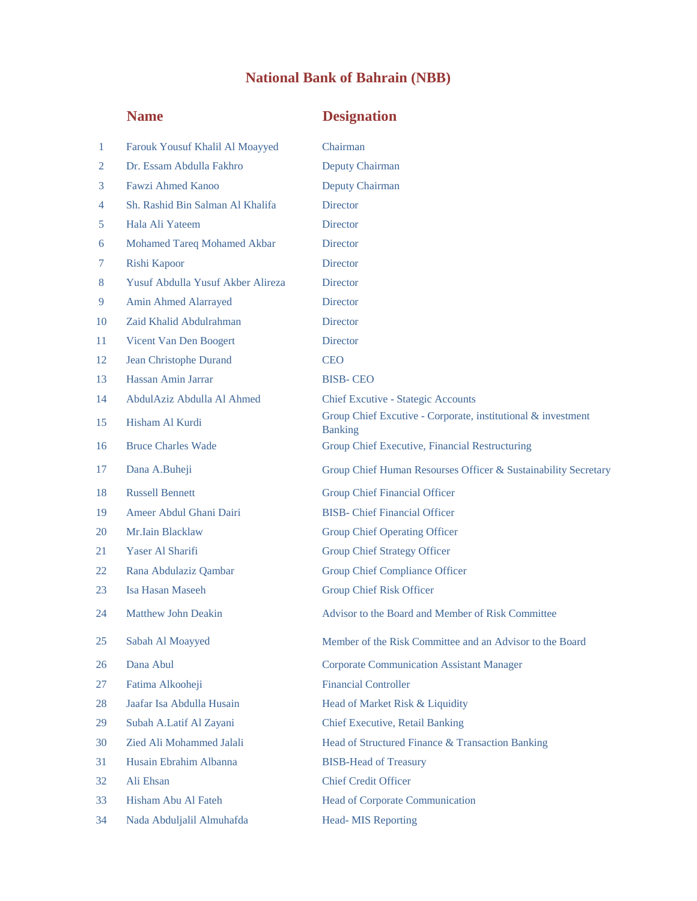## **National Bank of Bahrain (NBB)**

## **Name Designation**

| 1  | Farouk Yousuf Khalil Al Moayyed   | Chairman                                                                       |
|----|-----------------------------------|--------------------------------------------------------------------------------|
| 2  | Dr. Essam Abdulla Fakhro          | <b>Deputy Chairman</b>                                                         |
| 3  | <b>Fawzi Ahmed Kanoo</b>          | Deputy Chairman                                                                |
| 4  | Sh. Rashid Bin Salman Al Khalifa  | <b>Director</b>                                                                |
| 5  | Hala Ali Yateem                   | <b>Director</b>                                                                |
| 6  | Mohamed Tareq Mohamed Akbar       | Director                                                                       |
| 7  | Rishi Kapoor                      | <b>Director</b>                                                                |
| 8  | Yusuf Abdulla Yusuf Akber Alireza | <b>Director</b>                                                                |
| 9  | Amin Ahmed Alarrayed              | Director                                                                       |
| 10 | Zaid Khalid Abdulrahman           | <b>Director</b>                                                                |
| 11 | Vicent Van Den Boogert            | <b>Director</b>                                                                |
| 12 | Jean Christophe Durand            | <b>CEO</b>                                                                     |
| 13 | Hassan Amin Jarrar                | <b>BISB-CEO</b>                                                                |
| 14 | AbdulAziz Abdulla Al Ahmed        | <b>Chief Excutive - Stategic Accounts</b>                                      |
| 15 | Hisham Al Kurdi                   | Group Chief Excutive - Corporate, institutional & investment<br><b>Banking</b> |
| 16 | <b>Bruce Charles Wade</b>         | Group Chief Executive, Financial Restructuring                                 |
| 17 | Dana A.Buheji                     | Group Chief Human Resourses Officer & Sustainability Secretary                 |
| 18 | <b>Russell Bennett</b>            | <b>Group Chief Financial Officer</b>                                           |
| 19 | Ameer Abdul Ghani Dairi           | <b>BISB-</b> Chief Financial Officer                                           |
| 20 | Mr.Iain Blacklaw                  | <b>Group Chief Operating Officer</b>                                           |
| 21 | Yaser Al Sharifi                  | <b>Group Chief Strategy Officer</b>                                            |
| 22 | Rana Abdulaziz Qambar             | <b>Group Chief Compliance Officer</b>                                          |
| 23 | Isa Hasan Maseeh                  | <b>Group Chief Risk Officer</b>                                                |
| 24 | <b>Matthew John Deakin</b>        | Advisor to the Board and Member of Risk Committee                              |
| 25 | Sabah Al Moayyed                  | Member of the Risk Committee and an Advisor to the Board                       |
| 26 | Dana Abul                         | <b>Corporate Communication Assistant Manager</b>                               |
| 27 | Fatima Alkooheji                  | <b>Financial Controller</b>                                                    |
| 28 | Jaafar Isa Abdulla Husain         | Head of Market Risk & Liquidity                                                |
| 29 | Subah A.Latif Al Zayani           | <b>Chief Executive, Retail Banking</b>                                         |
| 30 | Zied Ali Mohammed Jalali          | Head of Structured Finance & Transaction Banking                               |
| 31 | Husain Ebrahim Albanna            | <b>BISB-Head of Treasury</b>                                                   |
| 32 | Ali Ehsan                         | <b>Chief Credit Officer</b>                                                    |
| 33 | Hisham Abu Al Fateh               | <b>Head of Corporate Communication</b>                                         |
| 34 | Nada Abduljalil Almuhafda         | <b>Head-MIS Reporting</b>                                                      |